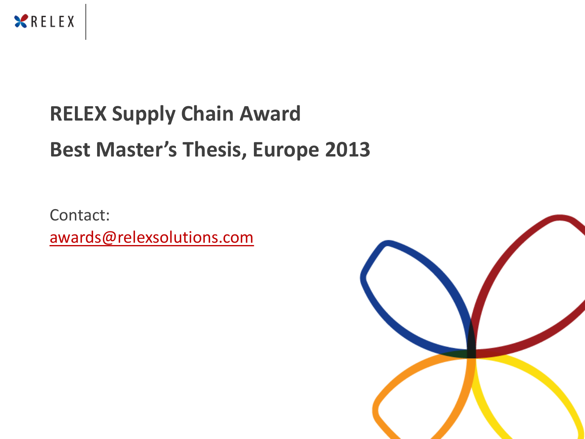

# **RELEX Supply Chain Award Best Master's Thesis, Europe 2013**

Contact: [awards@relexsolutions.com](mailto:awards@relexsolutions.com)

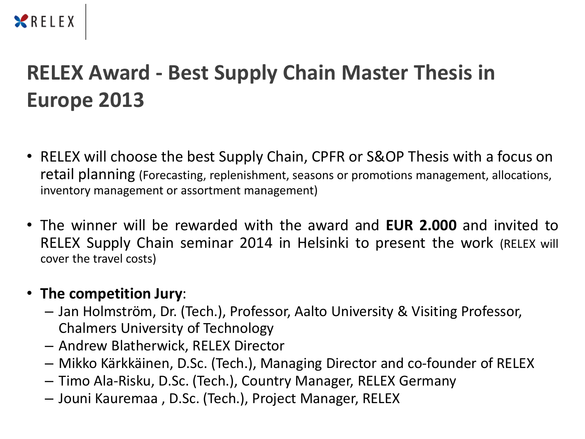### XRELEX

## **RELEX Award - Best Supply Chain Master Thesis in Europe 2013**

- RELEX will choose the best Supply Chain, CPFR or S&OP Thesis with a focus on retail planning (Forecasting, replenishment, seasons or promotions management, allocations, inventory management or assortment management)
- The winner will be rewarded with the award and **EUR 2.000** and invited to RELEX Supply Chain seminar 2014 in Helsinki to present the work (RELEX will cover the travel costs)

#### • **The competition Jury**:

- Jan Holmström, Dr. (Tech.), Professor, Aalto University & Visiting Professor, Chalmers University of Technology
- Andrew Blatherwick, RELEX Director
- Mikko Kärkkäinen, D.Sc. (Tech.), Managing Director and co-founder of RELEX
- Timo Ala-Risku, D.Sc. (Tech.), Country Manager, RELEX Germany
- Jouni Kauremaa , D.Sc. (Tech.), Project Manager, RELEX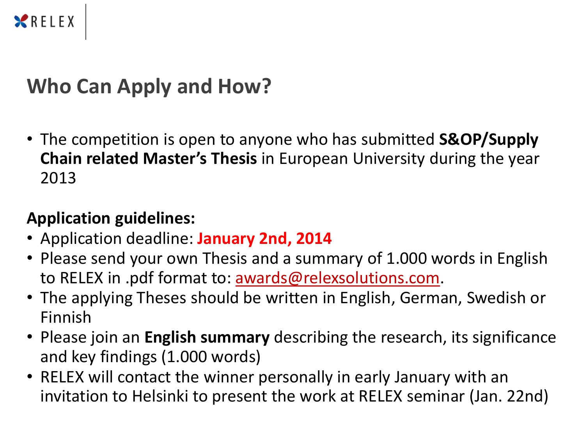

## **Who Can Apply and How?**

• The competition is open to anyone who has submitted **S&OP/Supply Chain related Master's Thesis** in European University during the year 2013

### **Application guidelines:**

- Application deadline: **January 2nd, 2014**
- Please send your own Thesis and a summary of 1.000 words in English to RELEX in .pdf format to: <u>awards@relexsolutions.com</u>.
- The applying Theses should be written in English, German, Swedish or Finnish
- Please join an **English summary** describing the research, its significance and key findings (1.000 words)
- RELEX will contact the winner personally in early January with an invitation to Helsinki to present the work at RELEX seminar (Jan. 22nd)